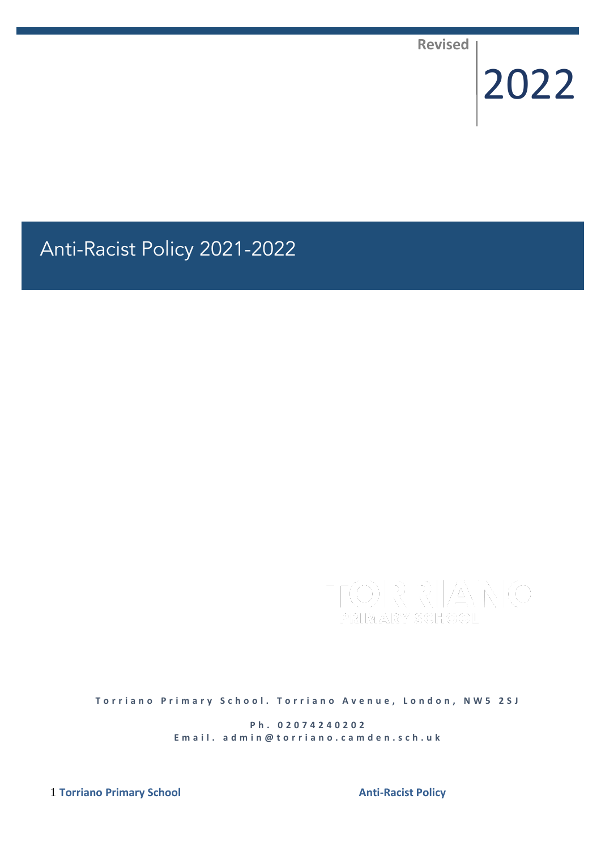**Revised**

# 2022

# Anti-Racist Policy 2021-2022

**Torriano Primary School. Torriano Avenue, London, NW5 2SJ** 

**P h . 0 2 0 7 4 2 4 0 2 0 2** E m a il. a d m i n @ t o r r i a n o . c a m d e n . s c h . u k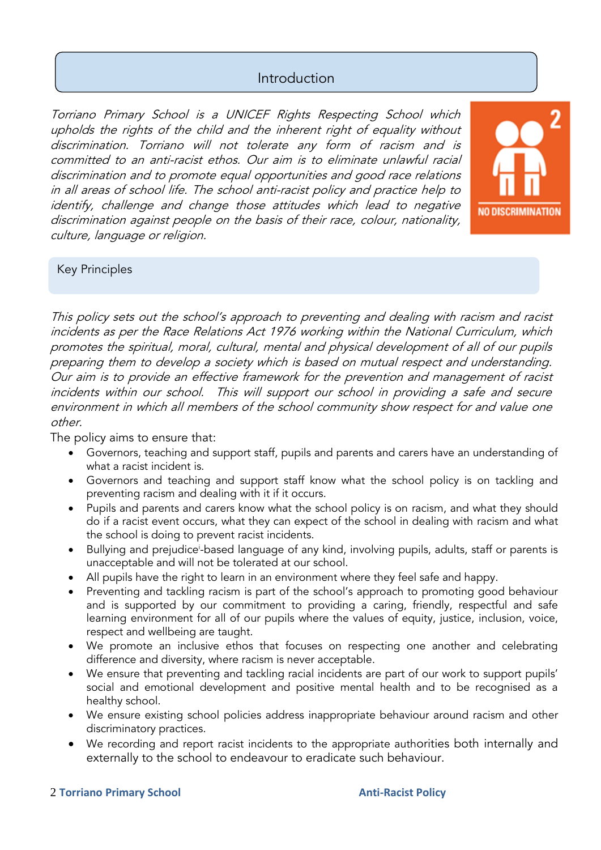# Introduction

Torriano Primary School is a UNICEF Rights Respecting School which upholds the rights of the child and the inherent right of equality without discrimination. Torriano will not tolerate any form of racism and is committed to an anti-racist ethos. Our aim is to eliminate unlawful racial discrimination and to promote equal opportunities and good race relations in all areas of school life. The school anti-racist policy and practice help to identify, challenge and change those attitudes which lead to negative discrimination against people on the basis of their race, colour, nationality, culture, language or religion.



### Key Principles

This policy sets out the school's approach to preventing and dealing with racism and racist incidents as per the Race Relations Act 1976 working within the National Curriculum, which promotes the spiritual, moral, cultural, mental and physical development of all of our pupils preparing them to develop a society which is based on mutual respect and understanding. Our aim is to provide an effective framework for the prevention and management of racist incidents within our school. This will support our school in providing a safe and secure environment in which all members of the school community show respect for and value one other.

The policy aims to ensure that:

- Governors, teaching and support staff, pupils and parents and carers have an understanding of what a racist incident is.
- Governors and teaching and support staff know what the school policy is on tackling and preventing racism and dealing with it if it occurs.
- Pupils and parents and carers know what the school policy is on racism, and what they should do if a racist event occurs, what they can expect of the school in dealing with racism and what the school is doing to prevent racist incidents.
- Bullying and prejudice<sup>i</sup>-based language of any kind, involving pupils, adults, staff or parents is unacceptable and will not be tolerated at our school.
- All pupils have the right to learn in an environment where they feel safe and happy.
- Preventing and tackling racism is part of the school's approach to promoting good behaviour and is supported by our commitment to providing a caring, friendly, respectful and safe learning environment for all of our pupils where the values of equity, justice, inclusion, voice, respect and wellbeing are taught.
- We promote an inclusive ethos that focuses on respecting one another and celebrating difference and diversity, where racism is never acceptable.
- We ensure that preventing and tackling racial incidents are part of our work to support pupils' social and emotional development and positive mental health and to be recognised as a healthy school.
- We ensure existing school policies address inappropriate behaviour around racism and other discriminatory practices.
- We recording and report racist incidents to the appropriate authorities both internally and externally to the school to endeavour to eradicate such behaviour.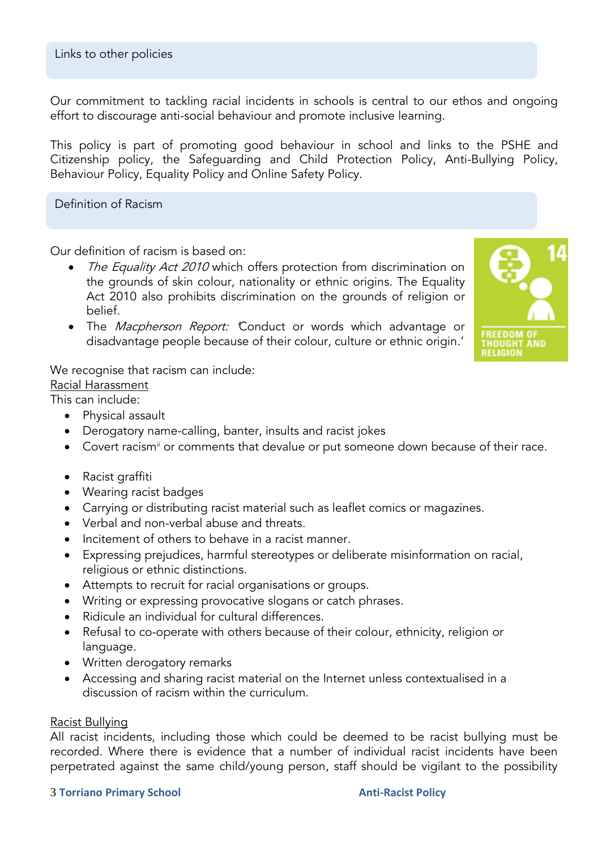Our commitment to tackling racial incidents in schools is central to our ethos and ongoing effort to discourage anti-social behaviour and promote inclusive learning.

This policy is part of promoting good behaviour in school and links to the PSHE and Citizenship policy, the Safeguarding and Child Protection Policy, Anti-Bullying Policy, Behaviour Policy, Equality Policy and Online Safety Policy.

Definition of Racism

Our definition of racism is based on:

- The Equality Act 2010 which offers protection from discrimination on the grounds of skin colour, nationality or ethnic origins. The Equality Act 2010 also prohibits discrimination on the grounds of religion or belief.
- The Macpherson Report: Conduct or words which advantage or disadvantage people because of their colour, culture or ethnic origin.'



We recognise that racism can include: Racial Harassment

This can include:

- Physical assault
- Derogatory name-calling, banter, insults and racist jokes
- Covert racism<sup>ii</sup> or comments that devalue or put someone down because of their race.
- Racist graffiti
- Wearing racist badges
- Carrying or distributing racist material such as leaflet comics or magazines.
- Verbal and non-verbal abuse and threats.
- Incitement of others to behave in a racist manner.
- Expressing prejudices, harmful stereotypes or deliberate misinformation on racial, religious or ethnic distinctions.
- Attempts to recruit for racial organisations or groups.
- Writing or expressing provocative slogans or catch phrases.
- Ridicule an individual for cultural differences.
- Refusal to co-operate with others because of their colour, ethnicity, religion or language.
- Written derogatory remarks
- Accessing and sharing racist material on the Internet unless contextualised in a discussion of racism within the curriculum.

### Racist Bullying

All racist incidents, including those which could be deemed to be racist bullying must be recorded. Where there is evidence that a number of individual racist incidents have been perpetrated against the same child/young person, staff should be vigilant to the possibility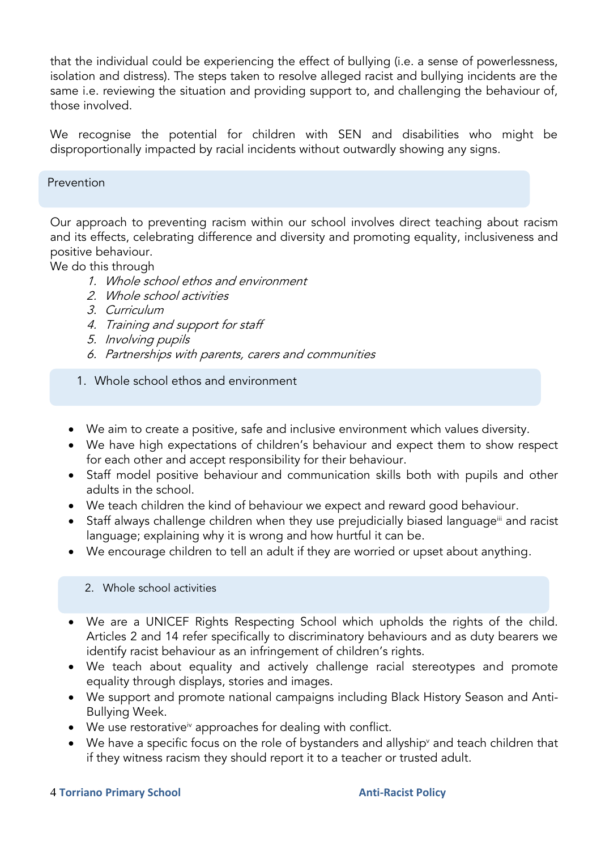that the individual could be experiencing the effect of bullying (i.e. a sense of powerlessness, isolation and distress). The steps taken to resolve alleged racist and bullying incidents are the same i.e. reviewing the situation and providing support to, and challenging the behaviour of, those involved.

We recognise the potential for children with SEN and disabilities who might be disproportionally impacted by racial incidents without outwardly showing any signs.

### Prevention

Our approach to preventing racism within our school involves direct teaching about racism and its effects, celebrating difference and diversity and promoting equality, inclusiveness and positive behaviour.

We do this through

- 1. Whole school ethos and environment
- 2. Whole school activities
- 3. Curriculum
- 4. Training and support for staff
- 5. Involving pupils
- 6. Partnerships with parents, carers and communities
- 1. Whole school ethos and environment
- We aim to create a positive, safe and inclusive environment which values diversity.
- We have high expectations of children's behaviour and expect them to show respect for each other and accept responsibility for their behaviour.
- Staff model positive behaviour and communication skills both with pupils and other adults in the school.
- We teach children the kind of behaviour we expect and reward good behaviour.
- Staff always challenge children when they use prejudicially biased language<sup>iii</sup> and racist language; explaining why it is wrong and how hurtful it can be.
- We encourage children to tell an adult if they are worried or upset about anything.

### 2. Whole school activities

- We are a UNICEF Rights Respecting School which upholds the rights of the child. Articles 2 and 14 refer specifically to discriminatory behaviours and as duty bearers we identify racist behaviour as an infringement of children's rights.
- We teach about equality and actively challenge racial stereotypes and promote equality through displays, stories and images.
- We support and promote national campaigns including Black History Season and Anti-Bullying Week.
- $\bullet$  We use restorative<sup>iv</sup> approaches for dealing with conflict.
- We have a specific focus on the role of bystanders and allyship<sup>y</sup> and teach children that if they witness racism they should report it to a teacher or trusted adult.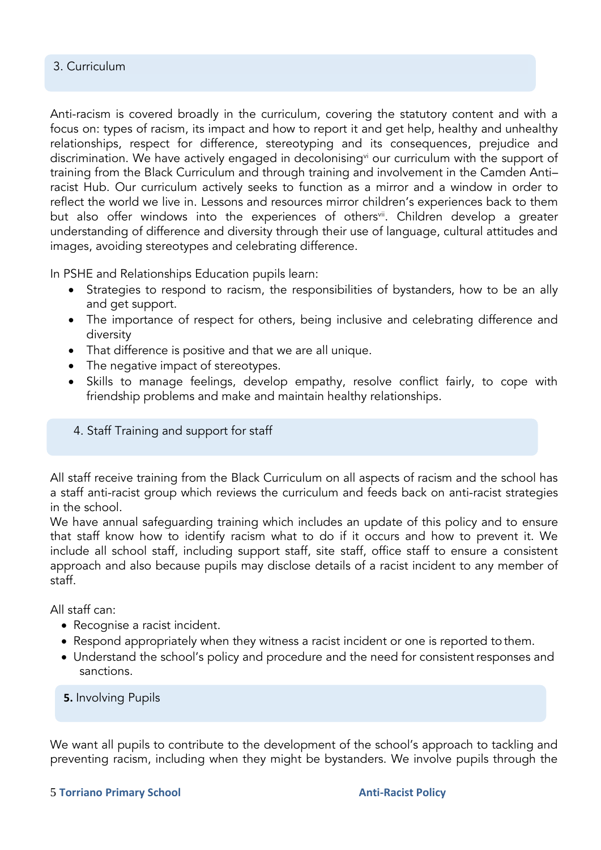### 3. Curriculum

Anti-racism is covered broadly in the curriculum, covering the statutory content and with a focus on: types of racism, its impact and how to report it and get help, healthy and unhealthy relationships, respect for difference, stereotyping and its consequences, prejudice and discrimination. We have actively engaged in decolonising<sup>vi</sup> our curriculum with the support of training from the Black Curriculum and through training and involvement in the Camden Anti– racist Hub. Our curriculum actively seeks to function as a mirror and a window in order to reflect the world we live in. Lessons and resources mirror children's experiences back to them but also offer windows into the experiences of others<sup>vii</sup>. Children develop a greater understanding of difference and diversity through their use of language, cultural attitudes and images, avoiding stereotypes and celebrating difference.

In PSHE and Relationships Education pupils learn:

- Strategies to respond to racism, the responsibilities of bystanders, how to be an ally and get support.
- The importance of respect for others, being inclusive and celebrating difference and diversity
- That difference is positive and that we are all unique.
- The negative impact of stereotypes.
- Skills to manage feelings, develop empathy, resolve conflict fairly, to cope with friendship problems and make and maintain healthy relationships.
- 4. Staff Training and support for staff

All staff receive training from the Black Curriculum on all aspects of racism and the school has a staff anti-racist group which reviews the curriculum and feeds back on anti-racist strategies in the school.

We have annual safeguarding training which includes an update of this policy and to ensure that staff know how to identify racism what to do if it occurs and how to prevent it. We include all school staff, including support staff, site staff, office staff to ensure a consistent approach and also because pupils may disclose details of a racist incident to any member of staff.

All staff can:

- Recognise a racist incident.
- Respond appropriately when they witness a racist incident or one is reported tothem.
- Understand the school's policy and procedure and the need for consistent responses and sanctions.

**5.** Involving Pupils

We want all pupils to contribute to the development of the school's approach to tackling and preventing racism, including when they might be bystanders. We involve pupils through the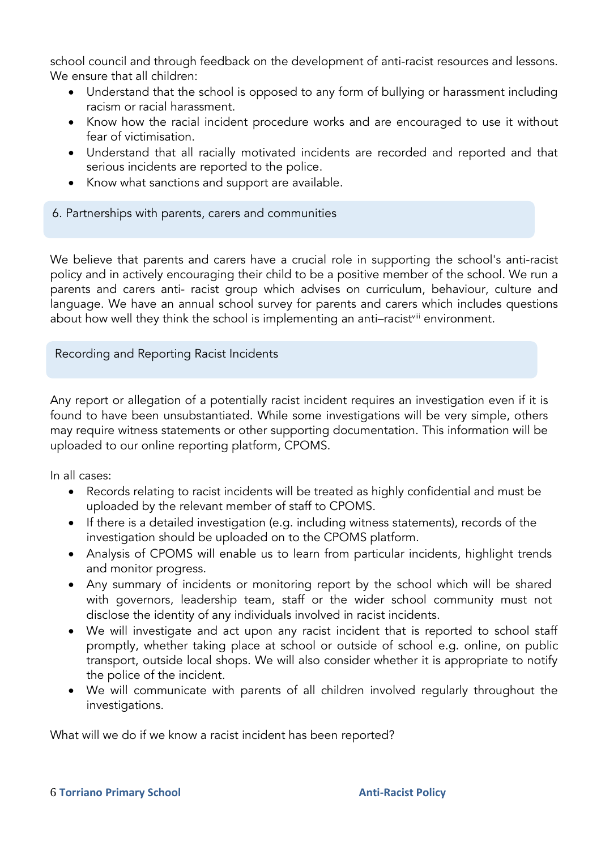school council and through feedback on the development of anti-racist resources and lessons. We ensure that all children:

- Understand that the school is opposed to any form of bullying or harassment including racism or racial harassment.
- Know how the racial incident procedure works and are encouraged to use it without fear of victimisation.
- Understand that all racially motivated incidents are recorded and reported and that serious incidents are reported to the police.
- Know what sanctions and support are available.

### 6. Partnerships with parents, carers and communities

We believe that parents and carers have a crucial role in supporting the school's anti-racist policy and in actively encouraging their child to be a positive member of the school. We run a parents and carers anti- racist group which advises on curriculum, behaviour, culture and language. We have an annual school survey for parents and carers which includes questions about how well they think the school is implementing an anti-racist<sup>yiii</sup> environment.

Recording and Reporting Racist Incidents

Any report or allegation of a potentially racist incident requires an investigation even if it is found to have been unsubstantiated. While some investigations will be very simple, others may require witness statements or other supporting documentation. This information will be uploaded to our online reporting platform, CPOMS.

In all cases:

- Records relating to racist incidents will be treated as highly confidential and must be uploaded by the relevant member of staff to CPOMS.
- If there is a detailed investigation (e.g. including witness statements), records of the investigation should be uploaded on to the CPOMS platform.
- Analysis of CPOMS will enable us to learn from particular incidents, highlight trends and monitor progress.
- Any summary of incidents or monitoring report by the school which will be shared with governors, leadership team, staff or the wider school community must not disclose the identity of any individuals involved in racist incidents.
- We will investigate and act upon any racist incident that is reported to school staff promptly, whether taking place at school or outside of school e.g. online, on public transport, outside local shops. We will also consider whether it is appropriate to notify the police of the incident.
- We will communicate with parents of all children involved regularly throughout the investigations.

What will we do if we know a racist incident has been reported?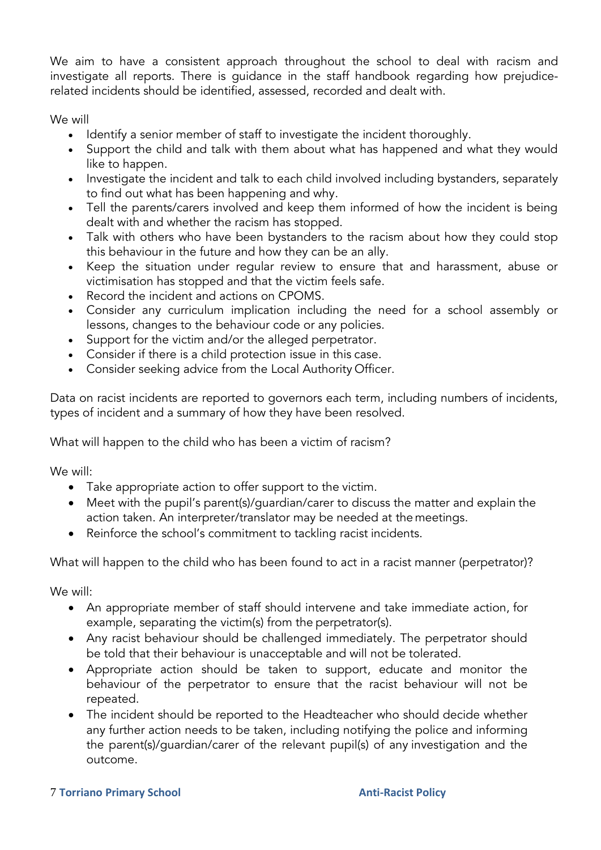We aim to have a consistent approach throughout the school to deal with racism and investigate all reports. There is guidance in the staff handbook regarding how prejudicerelated incidents should be identified, assessed, recorded and dealt with.

We will

- Identify a senior member of staff to investigate the incident thoroughly.
- Support the child and talk with them about what has happened and what they would like to happen.
- Investigate the incident and talk to each child involved including bystanders, separately to find out what has been happening and why.
- Tell the parents/carers involved and keep them informed of how the incident is being dealt with and whether the racism has stopped.
- Talk with others who have been bystanders to the racism about how they could stop this behaviour in the future and how they can be an ally.
- Keep the situation under regular review to ensure that and harassment, abuse or victimisation has stopped and that the victim feels safe.
- Record the incident and actions on CPOMS.
- Consider any curriculum implication including the need for a school assembly or lessons, changes to the behaviour code or any policies.
- Support for the victim and/or the alleged perpetrator.
- Consider if there is a child protection issue in this case.
- Consider seeking advice from the Local Authority Officer.

Data on racist incidents are reported to governors each term, including numbers of incidents, types of incident and a summary of how they have been resolved.

What will happen to the child who has been a victim of racism?

We will:

- Take appropriate action to offer support to the victim.
- Meet with the pupil's parent(s)/guardian/carer to discuss the matter and explain the action taken. An interpreter/translator may be needed at the meetings.
- Reinforce the school's commitment to tackling racist incidents.

What will happen to the child who has been found to act in a racist manner (perpetrator)?

We will:

- An appropriate member of staff should intervene and take immediate action, for example, separating the victim(s) from the perpetrator(s).
- Any racist behaviour should be challenged immediately. The perpetrator should be told that their behaviour is unacceptable and will not be tolerated.
- Appropriate action should be taken to support, educate and monitor the behaviour of the perpetrator to ensure that the racist behaviour will not be repeated.
- The incident should be reported to the Headteacher who should decide whether any further action needs to be taken, including notifying the police and informing the parent(s)/guardian/carer of the relevant pupil(s) of any investigation and the outcome.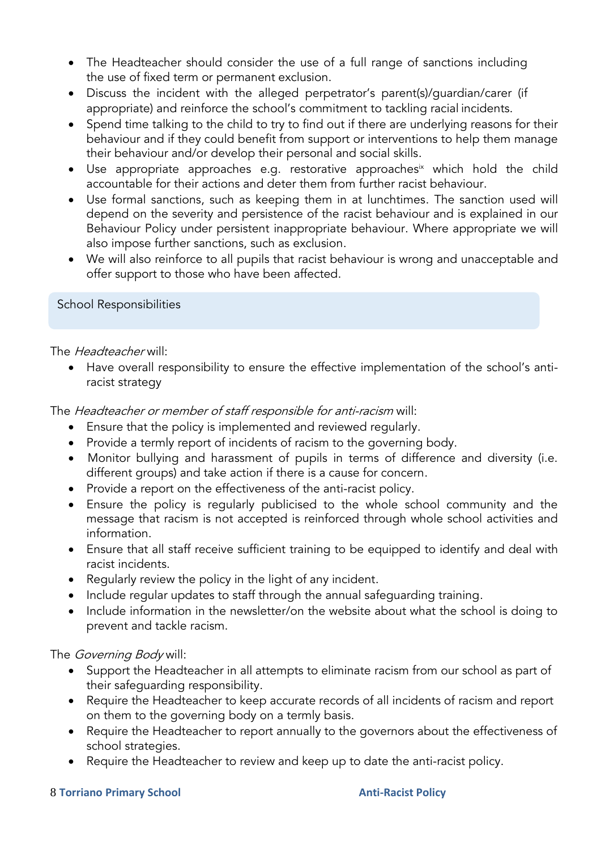- The Headteacher should consider the use of a full range of sanctions including the use of fixed term or permanent exclusion.
- Discuss the incident with the alleged perpetrator's parent(s)/guardian/carer (if appropriate) and reinforce the school's commitment to tackling racial incidents.
- Spend time talking to the child to try to find out if there are underlying reasons for their behaviour and if they could benefit from support or interventions to help them manage their behaviour and/or develop their personal and social skills.
- Use appropriate approaches e.g. restorative approaches<sup>ix</sup> which hold the child accountable for their actions and deter them from further racist behaviour.
- Use formal sanctions, such as keeping them in at lunchtimes. The sanction used will depend on the severity and persistence of the racist behaviour and is explained in our Behaviour Policy under persistent inappropriate behaviour. Where appropriate we will also impose further sanctions, such as exclusion.
- We will also reinforce to all pupils that racist behaviour is wrong and unacceptable and offer support to those who have been affected.

School Responsibilities

The Headteacher will:

 Have overall responsibility to ensure the effective implementation of the school's antiracist strategy

The Headteacher or member of staff responsible for anti-racism will:

- Ensure that the policy is implemented and reviewed regularly.
- Provide a termly report of incidents of racism to the governing body.
- Monitor bullying and harassment of pupils in terms of difference and diversity (i.e. different groups) and take action if there is a cause for concern.
- Provide a report on the effectiveness of the anti-racist policy.
- Ensure the policy is regularly publicised to the whole school community and the message that racism is not accepted is reinforced through whole school activities and information.
- Ensure that all staff receive sufficient training to be equipped to identify and deal with racist incidents.
- Regularly review the policy in the light of any incident.
- Include regular updates to staff through the annual safeguarding training.
- Include information in the newsletter/on the website about what the school is doing to prevent and tackle racism.

The *Governing Body* will:

- Support the Headteacher in all attempts to eliminate racism from our school as part of their safeguarding responsibility.
- Require the Headteacher to keep accurate records of all incidents of racism and report on them to the governing body on a termly basis.
- Require the Headteacher to report annually to the governors about the effectiveness of school strategies.
- Require the Headteacher to review and keep up to date the anti-racist policy.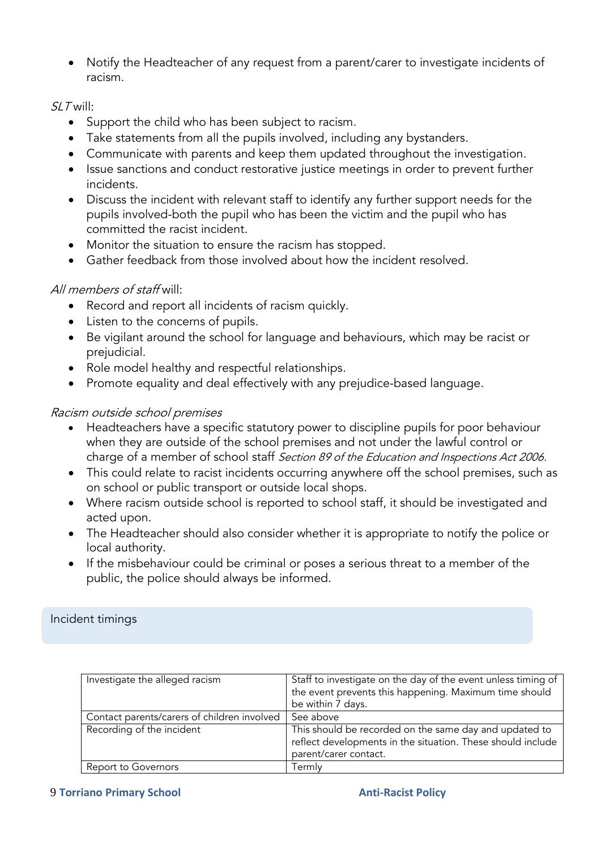Notify the Headteacher of any request from a parent/carer to investigate incidents of racism.

### SLT will:

- Support the child who has been subject to racism.
- Take statements from all the pupils involved, including any bystanders.
- Communicate with parents and keep them updated throughout the investigation.
- Issue sanctions and conduct restorative justice meetings in order to prevent further incidents.
- Discuss the incident with relevant staff to identify any further support needs for the pupils involved-both the pupil who has been the victim and the pupil who has committed the racist incident.
- Monitor the situation to ensure the racism has stopped.
- Gather feedback from those involved about how the incident resolved.

# All members of staff will:

- Record and report all incidents of racism quickly.
- Listen to the concerns of pupils.
- Be vigilant around the school for language and behaviours, which may be racist or prejudicial.
- Role model healthy and respectful relationships.
- Promote equality and deal effectively with any prejudice-based language.

## Racism outside school premises

- Headteachers have a specific statutory power to discipline pupils for poor behaviour when they are outside of the school premises and not under the lawful control or charge of a member of school staff Section 89 of the Education and Inspections Act 2006.
- This could relate to racist incidents occurring anywhere off the school premises, such as on school or public transport or outside local shops.
- Where racism outside school is reported to school staff, it should be investigated and acted upon.
- The Headteacher should also consider whether it is appropriate to notify the police or local authority.
- If the misbehaviour could be criminal or poses a serious threat to a member of the public, the police should always be informed.

### Incident timings

| Investigate the alleged racism              | Staff to investigate on the day of the event unless timing of<br>the event prevents this happening. Maximum time should<br>be within 7 days.   |
|---------------------------------------------|------------------------------------------------------------------------------------------------------------------------------------------------|
| Contact parents/carers of children involved | See above                                                                                                                                      |
| Recording of the incident                   | This should be recorded on the same day and updated to<br>reflect developments in the situation. These should include<br>parent/carer contact. |
| Report to Governors                         | Termly                                                                                                                                         |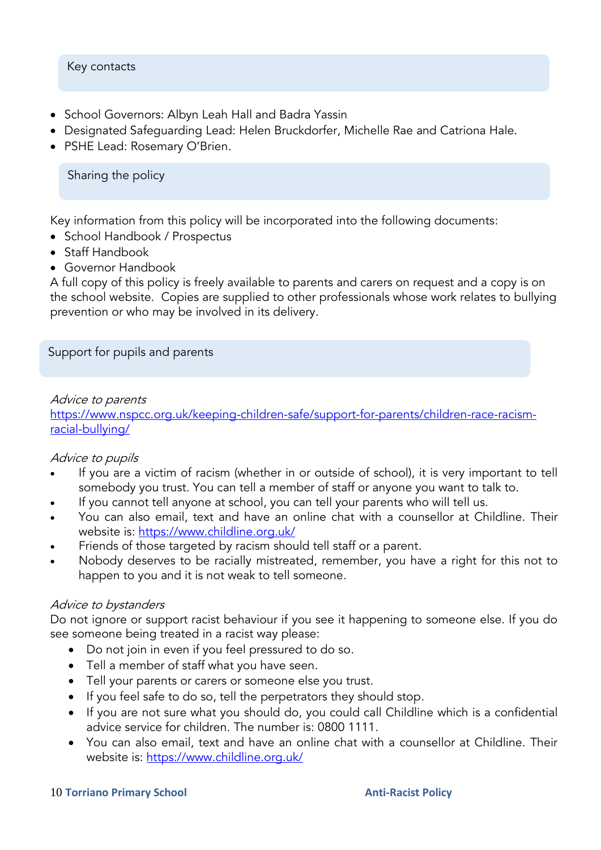### Key contacts

- School Governors: Albyn Leah Hall and Badra Yassin
- Designated Safeguarding Lead: Helen Bruckdorfer, Michelle Rae and Catriona Hale.
- PSHE Lead: Rosemary O'Brien.

Sharing the policy

Key information from this policy will be incorporated into the following documents:

- School Handbook / Prospectus
- Staff Handbook
- Governor Handbook

A full copy of this policy is freely available to parents and carers on request and a copy is on the school website. Copies are supplied to other professionals whose work relates to bullying prevention or who may be involved in its delivery.

Support for pupils and parents

### Advice to parents

[https://www.nspcc.org.uk/keeping-children-safe/support-for-parents/children-race-racism](https://www.nspcc.org.uk/keeping-children-safe/support-for-parents/children-race-racism-racial-bullying/)[racial-bullying/](https://www.nspcc.org.uk/keeping-children-safe/support-for-parents/children-race-racism-racial-bullying/)

### Advice to pupils

- If you are a victim of racism (whether in or outside of school), it is very important to tell somebody you trust. You can tell a member of staff or anyone you want to talk to.
- If you cannot tell anyone at school, you can tell your parents who will tell us.
- You can also email, text and have an online chat with a counsellor at Childline. Their website is:<https://www.childline.org.uk/>
- Friends of those targeted by racism should tell staff or a parent.
- Nobody deserves to be racially mistreated, remember, you have a right for this not to happen to you and it is not weak to tell someone.

### Advice to bystanders

Do not ignore or support racist behaviour if you see it happening to someone else. If you do see someone being treated in a racist way please:

- Do not join in even if you feel pressured to do so.
- Tell a member of staff what you have seen.
- Tell your parents or carers or someone else you trust.
- If you feel safe to do so, tell the perpetrators they should stop.
- If you are not sure what you should do, you could call Childline which is a confidential advice service for children. The number is: 0800 1111.
- You can also email, text and have an online chat with a counsellor at Childline. Their website is:<https://www.childline.org.uk/>